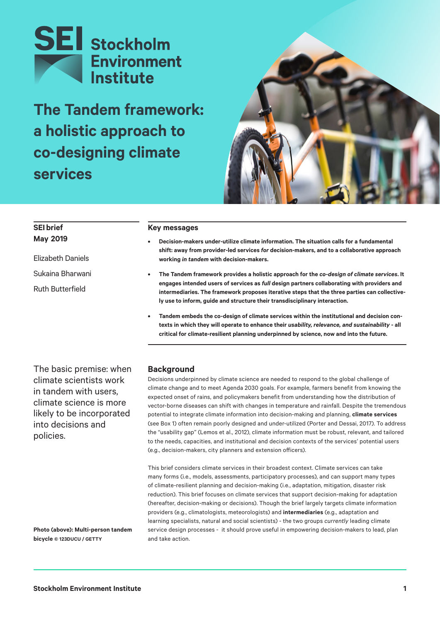

**The Tandem framework: a holistic approach to co-designing climate services**



# **SEI brief May 2019**

Elizabeth Daniels Sukaina Bharwani Ruth Butterfield

#### **Key messages**

- **• Decision-makers under-utilize climate information. The situation calls for a fundamental shift: away from provider-led services** *for* **decision-makers, and to a collaborative approach working** *in tandem* **with decision-makers.**
- **• The Tandem framework provides a holistic approach for the** *co-design of climate services***. It engages intended users of services as** *full* **design partners collaborating with providers and intermediaries. The framework proposes iterative steps that the three parties can collectively use to inform, guide and structure their transdisciplinary interaction.**
- **• Tandem embeds the co-design of climate services within the institutional and decision contexts in which they will operate to enhance their** *usability, relevance, and sustainability* **- all critical for climate-resilient planning underpinned by science, now and into the future.**

The basic premise: when climate scientists work in tandem with users, climate science is more likely to be incorporated into decisions and policies.

#### **Background**

Decisions underpinned by climate science are needed to respond to the global challenge of climate change and to meet Agenda 2030 goals. For example, farmers benefit from knowing the expected onset of rains, and policymakers benefit from understanding how the distribution of vector-borne diseases can shift with changes in temperature and rainfall. Despite the tremendous potential to integrate climate information into decision-making and planning, **climate services** (see Box 1) often remain poorly designed and under-utilized (Porter and Dessai, 2017). To address the "usability gap" (Lemos et al., 2012), climate information must be robust, relevant, and tailored to the needs, capacities, and institutional and decision contexts of the services' potential users (e.g., decision-makers, city planners and extension officers).

This brief considers climate services in their broadest context. Climate services can take many forms (i.e., models, assessments, participatory processes), and can support many types of climate-resilient planning and decision-making (i.e., adaptation, mitigation, disaster risk reduction). This brief focuses on climate services that support decision-making for adaptation (hereafter, decision-making or decisions). Though the brief largely targets climate information providers (e.g., climatologists, meteorologists) and **intermediaries** (e.g., adaptation and learning specialists, natural and social scientists) - the two groups *currently* leading climate service design processes - it should prove useful in empowering decision-makers to lead, plan and take action.

**Photo (above): Multi-person tandem bicycle © 123DUCU / GETTY**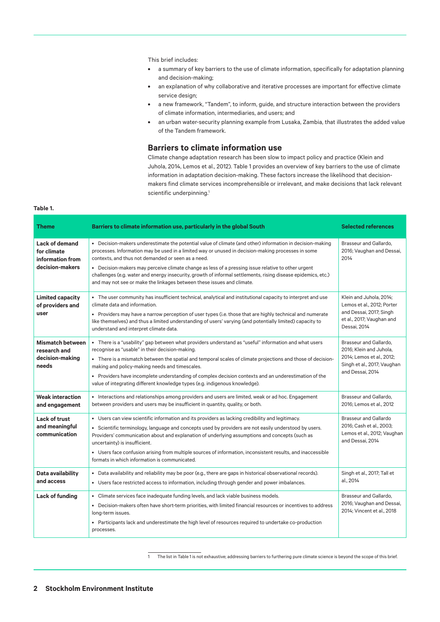This brief includes:

- **•** a summary of key barriers to the use of climate information, specifically for adaptation planning and decision-making;
- **•** an explanation of why collaborative and iterative processes are important for effective climate service design;
- **•** a new framework, "Tandem", to inform, guide, and structure interaction between the providers of climate information, intermediaries, and users; and
- **•** an urban water-security planning example from Lusaka, Zambia, that illustrates the added value of the Tandem framework.

#### **Barriers to climate information use**

Climate change adaptation research has been slow to impact policy and practice (Klein and Juhola, 2014, Lemos et al., 2012). Table 1 provides an overview of key barriers to the use of climate information in adaptation decision-making. These factors increase the likelihood that decisionmakers find climate services incomprehensible or irrelevant, and make decisions that lack relevant scientific underpinning.<sup>1</sup>

#### **Table 1.**

| <b>Theme</b>                                                                | Barriers to climate information use, particularly in the global South                                                                                                                                                                                                                                                                                                                                                                                                                                                                                                  | <b>Selected references</b>                                                                                                        |
|-----------------------------------------------------------------------------|------------------------------------------------------------------------------------------------------------------------------------------------------------------------------------------------------------------------------------------------------------------------------------------------------------------------------------------------------------------------------------------------------------------------------------------------------------------------------------------------------------------------------------------------------------------------|-----------------------------------------------------------------------------------------------------------------------------------|
| <b>Lack of demand</b><br>for climate<br>information from<br>decision-makers | • Decision-makers underestimate the potential value of climate (and other) information in decision-making<br>processes. Information may be used in a limited way or unused in decision-making processes in some<br>contexts, and thus not demanded or seen as a need.<br>• Decision-makers may perceive climate change as less of a pressing issue relative to other urgent<br>challenges (e.g. water and energy insecurity, growth of informal settlements, rising disease epidemics, etc.)<br>and may not see or make the linkages between these issues and climate. | Brasseur and Gallardo,<br>2016; Vaughan and Dessai,<br>2014                                                                       |
| <b>Limited capacity</b><br>of providers and<br>user                         | • The user community has insufficient technical, analytical and institutional capacity to interpret and use<br>climate data and information.<br>• Providers may have a narrow perception of user types (i.e. those that are highly technical and numerate<br>like themselves) and thus a limited understanding of users' varying (and potentially limited) capacity to<br>understand and interpret climate data.                                                                                                                                                       | Klein and Juhola, 2014;<br>Lemos et al., 2012; Porter<br>and Dessai, 2017; Singh<br>et al., 2017; Vaughan and<br>Dessai, 2014     |
| <b>Mismatch between</b><br>research and<br>decision-making<br>needs         | • There is a "usability" gap between what providers understand as "useful" information and what users<br>recognise as "usable" in their decision-making.<br>• There is a mismatch between the spatial and temporal scales of climate projections and those of decision-<br>making and policy-making needs and timescales.<br>• Providers have incomplete understanding of complex decision contexts and an underestimation of the<br>value of integrating different knowledge types (e.g. indigenous knowledge).                                                       | Brasseur and Gallardo.<br>2016; Klein and Juhola,<br>2014; Lemos et al., 2012;<br>Singh et al., 2017; Vaughan<br>and Dessai, 2014 |
| <b>Weak interaction</b><br>and engagement                                   | • Interactions and relationships among providers and users are limited, weak or ad hoc. Engagement<br>between providers and users may be insufficient in quantity, quality, or both.                                                                                                                                                                                                                                                                                                                                                                                   | Brasseur and Gallardo.<br>2016; Lemos et al., 2012                                                                                |
| <b>Lack of trust</b><br>and meaningful<br>communication                     | • Users can view scientific information and its providers as lacking credibility and legitimacy.<br>• Scientific terminology, language and concepts used by providers are not easily understood by users.<br>Providers' communication about and explanation of underlying assumptions and concepts (such as<br>uncertainty) is insufficient.<br>• Users face confusion arising from multiple sources of information, inconsistent results, and inaccessible<br>formats in which information is communicated.                                                           | <b>Brasseur and Gallardo</b><br>2016; Cash et al., 2003;<br>Lemos et al., 2012; Vaughan<br>and Dessai, 2014                       |
| Data availability<br>and access                                             | • Data availability and reliability may be poor (e.g., there are gaps in historical observational records).<br>• Users face restricted access to information, including through gender and power imbalances.                                                                                                                                                                                                                                                                                                                                                           | Singh et al., 2017; Tall et<br>al., 2014                                                                                          |
| Lack of funding                                                             | • Climate services face inadequate funding levels, and lack viable business models.<br>• Decision-makers often have short-term priorities, with limited financial resources or incentives to address<br>long-term issues.<br>• Participants lack and underestimate the high level of resources required to undertake co-production<br>processes.                                                                                                                                                                                                                       | Brasseur and Gallardo.<br>2016; Vaughan and Dessai,<br>2014; Vincent et al., 2018                                                 |

The list in Table 1 is not exhaustive; addressing barriers to furthering pure climate science is beyond the scope of this brief.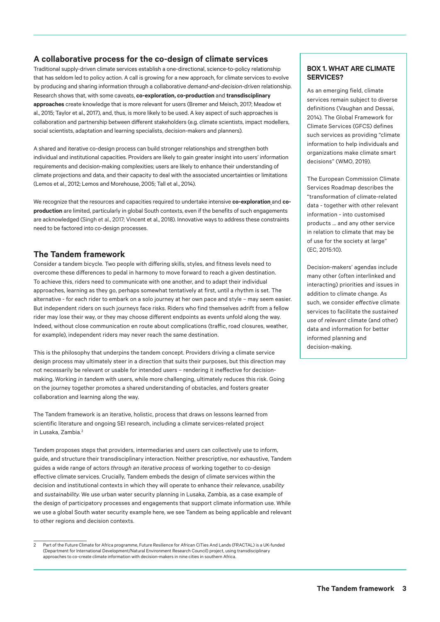#### **A collaborative process for the co-design of climate services**

Traditional supply-driven climate services establish a one-directional, science-to-policy relationship that has seldom led to policy action. A call is growing for a new approach, for climate services to evolve by producing and sharing information through a collaborative *demand-and-decision-driven* relationship. Research shows that, with some caveats, **co-exploration, co-production** and **transdisciplinary approaches** create knowledge that is more relevant for users (Bremer and Meisch, 2017; Meadow et al., 2015; Taylor et al., 2017), and, thus, is more likely to be used. A key aspect of such approaches is collaboration and partnership between different stakeholders (e.g. climate scientists, impact modellers, social scientists, adaptation and learning specialists, decision-makers and planners).

A shared and iterative co-design process can build stronger relationships and strengthen both individual and institutional capacities. Providers are likely to gain greater insight into users' information requirements and decision-making complexities; users are likely to enhance their understanding of climate projections and data, and their capacity to deal with the associated uncertainties or limitations (Lemos et al., 2012; Lemos and Morehouse, 2005; Tall et al., 2014).

We recognize that the resources and capacities required to undertake intensive **co-exploration** and **coproduction** are limited, particularly in global South contexts, even if the benefits of such engagements are acknowledged (Singh et al., 2017; Vincent et al., 2018). Innovative ways to address these constraints need to be factored into co-design processes.

#### **The Tandem framework**

Consider a tandem bicycle. Two people with differing skills, styles, and fitness levels need to overcome these differences to pedal in harmony to move forward to reach a given destination. To achieve this, riders need to communicate with one another, and to adapt their individual approaches, learning as they go, perhaps somewhat tentatively at first, until a rhythm is set. The alternative - for each rider to embark on a solo journey at her own pace and style – may seem easier. But independent riders on such journeys face risks. Riders who find themselves adrift from a fellow rider may lose their way, or they may choose different endpoints as events unfold along the way. Indeed, without close communication en route about complications (traffic, road closures, weather, for example), independent riders may never reach the same destination.

This is the philosophy that underpins the tandem concept. Providers driving a climate service design process may ultimately steer in a direction that suits their purposes, but this direction may not necessarily be relevant or usable for intended users – rendering it ineffective for decisionmaking. Working *in tandem* with users, while more challenging, ultimately reduces this risk. Going on the journey together promotes a shared understanding of obstacles, and fosters greater collaboration and learning along the way.

The Tandem framework is an iterative, holistic, process that draws on lessons learned from scientific literature and ongoing SEI research, including a climate services-related project in Lusaka, Zambia.<sup>2</sup>

Tandem proposes steps that providers, intermediaries and users can collectively use to inform, guide, and structure their transdisciplinary interaction. Neither prescriptive, nor exhaustive, Tandem guides a wide range of actors *through an iterative process* of working together to co-design effective climate services. Crucially, Tandem embeds the design of climate services within the decision and institutional contexts in which they will operate to enhance their *relevance*, *usability*  and *sustainability*. We use urban water security planning in Lusaka, Zambia, as a case example of the design of participatory processes and engagements that support climate information use. While we use a global South water security example here, we see Tandem as being applicable and relevant to other regions and decision contexts.

#### **BOX 1. WHAT ARE CLIMATE SERVICES?**

As an emerging field, climate services remain subject to diverse definitions (Vaughan and Dessai, 2014). The Global Framework for Climate Services (GFCS) defines such services as providing "climate information to help individuals and organizations make climate smart decisions" (WMO, 2019).

The European Commission Climate Services Roadmap describes the "transformation of climate-related data - together with other relevant information - into customised products … and any other service in relation to climate that may be of use for the society at large" (EC, 2015:10).

Decision-makers' agendas include many other (often interlinked and interacting) priorities and issues in addition to climate change. As such, we consider *effective* climate services to facilitate the *sustained use* of *relevant* climate (and other) data and information for better informed planning and decision-making.

<sup>2</sup> Part of the [Future Climate for Africa](http://www.futureclimateafrica.org/) programme, Future Resilience for African CiTies And Lands [\(FRACTAL\)](http://www.fractal.org.za/) is a UK-funded (Department for International Development/Natural Environment Research Council) project, using transdisciplinary approaches to co-create climate information with decision-makers in nine cities in southern Africa.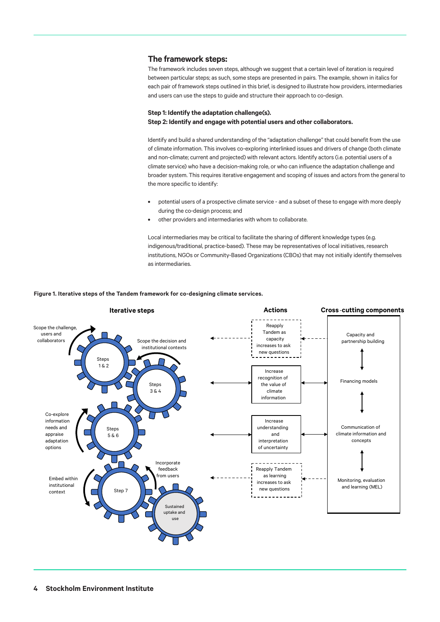#### **The framework steps:**

The framework includes seven steps, although we suggest that a certain level of iteration is required between particular steps; as such, some steps are presented in pairs. The example, shown in italics for each pair of framework steps outlined in this brief, is designed to illustrate how providers, intermediaries and users can use the steps to guide and structure their approach to co-design.

#### **Step 1: Identify the adaptation challenge(s). Step 2: Identify and engage with potential users and other collaborators.**

Identify and build a shared understanding of the "adaptation challenge" that could benefit from the use of climate information. This involves co-exploring interlinked issues and drivers of change (both climate and non-climate; current and projected) with relevant actors. Identify actors (i.e. potential users of a climate service) who have a decision-making role, or who can influence the adaptation challenge and broader system. This requires iterative engagement and scoping of issues and actors from the general to the more specific to identify:

- **•** potential users of a prospective climate service and a subset of these to engage with more deeply during the co-design process; and
- **•** other providers and intermediaries with whom to collaborate.

Local intermediaries may be critical to facilitate the sharing of different knowledge types (e.g. indigenous/traditional, practice-based). These may be representatives of local initiatives, research institutions, NGOs or Community-Based Organizations (CBOs) that may not initially identify themselves as intermediaries.

#### **Figure 1. Iterative steps of the Tandem framework for co-designing climate services.**

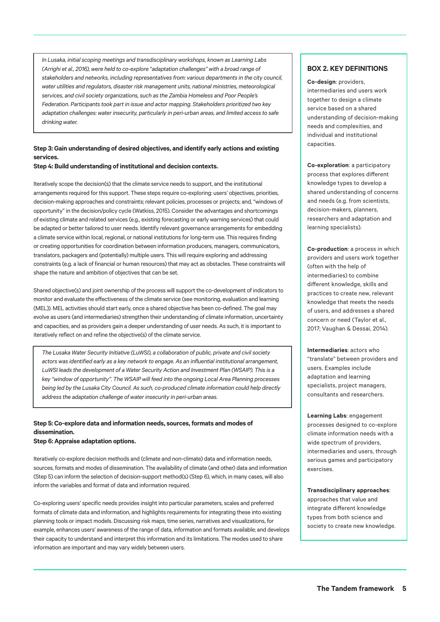*In Lusaka, initial scoping meetings and transdisciplinary workshops, known as Learning Labs (Arrighi et al., 2016), were held to co-explore "adaptation challenges" with a broad range of stakeholders and networks, including representatives from: various departments in the city council, water utilities and regulators, disaster risk management units, national ministries, meteorological services, and civil society organizations, such as the Zambia Homeless and Poor People's Federation. Participants took part in issue and actor mapping. Stakeholders prioritized two key adaptation challenges: water insecurity, particularly in peri-urban areas, and limited access to safe drinking water.*

#### **Step 3: Gain understanding of desired objectives, and identify early actions and existing services.**

**Step 4: Build understanding of institutional and decision contexts.**

Iteratively scope the decision(s) that the climate service needs to support, and the institutional arrangements required for this support. These steps require co-exploring: users' objectives, priorities, decision-making approaches and constraints; relevant policies, processes or projects; and, "windows of opportunity" in the decision/policy cycle (Watkiss, 2015). Consider the advantages and shortcomings of existing climate and related services (e.g., existing forecasting or early warning services) that could be adapted or better tailored to user needs. Identify relevant governance arrangements for embedding a climate service within local, regional, or national institutions for long-term use. This requires finding or creating opportunities for coordination between information producers, managers, communicators, translators, packagers and (potentially) multiple users. This will require exploring and addressing constraints (e.g. a lack of financial or human resources) that may act as obstacles. These constraints will shape the nature and ambition of objectives that can be set.

Shared objective(s) and joint ownership of the process will support the co-development of indicators to monitor and evaluate the effectiveness of the climate service (see monitoring, evaluation and learning (MEL)). MEL activities should start early, once a shared objective has been co-defined. The goal may evolve as users (and intermediaries) strengthen their understanding of climate information, uncertainty and capacities, and as providers gain a deeper understanding of user needs. As such, it is important to iteratively reflect on and refine the objective(s) of the climate service.

*The Lusaka Water Security Initiative (LuWSI), a collaboration of public, private and civil society actors was identified early as a key network to engage. As an influential institutional arrangement, LuWSI leads the development of a Water Security Action and Investment Plan (WSAIP). This is a key "window of opportunity". The WSAIP will feed into the ongoing Local Area Planning processes being led by the Lusaka City Council. As such, co-produced climate information could help directly address the adaptation challenge of water insecurity in peri-urban areas.*

## **Step 5: Co-explore data and information needs, sources, formats and modes of dissemination.**

#### **Step 6: Appraise adaptation options.**

Iteratively co-explore decision methods and (climate and non-climate) data and information needs, sources, formats and modes of dissemination. The availability of climate (and other) data and information (Step 5) can inform the selection of decision-support method(s) (Step 6), which, in many cases, will also inform the variables and format of data and information required.

Co-exploring users' specific needs provides insight into particular parameters, scales and preferred formats of climate data and information, and highlights requirements for integrating these into existing planning tools or impact models. Discussing risk maps, time series, narratives and visualizations, for example, enhances users' awareness of the range of data, information and formats available; and develops their capacity to understand and interpret this information and its limitations. The modes used to share information are important and may vary widely between users.

#### **BOX 2. KEY DEFINITIONS**

**Co-design**: providers, intermediaries and users work together to design a climate service based on a shared understanding of decision-making needs and complexities, and individual and institutional capacities.

**Co-exploration**: a participatory process that explores different knowledge types to develop a shared understanding of concerns and needs (e.g. from scientists, decision-makers, planners, researchers and adaptation and learning specialists).

**Co-production**: a process in which providers and users work together (often with the help of intermediaries) to combine different knowledge, skills and practices to create new, relevant knowledge that meets the needs of users, and addresses a shared concern or need (Taylor et al., 2017; Vaughan & Dessai, 2014).

**Intermediaries**: actors who "translate" between providers and users. Examples include adaptation and learning specialists, project managers, consultants and researchers.

**Learning Labs**: engagement processes designed to co-explore climate information needs with a wide spectrum of providers, intermediaries and users, through serious games and participatory exercises.

**Transdisciplinary approaches**: approaches that value and integrate different knowledge types from both science and society to create new knowledge.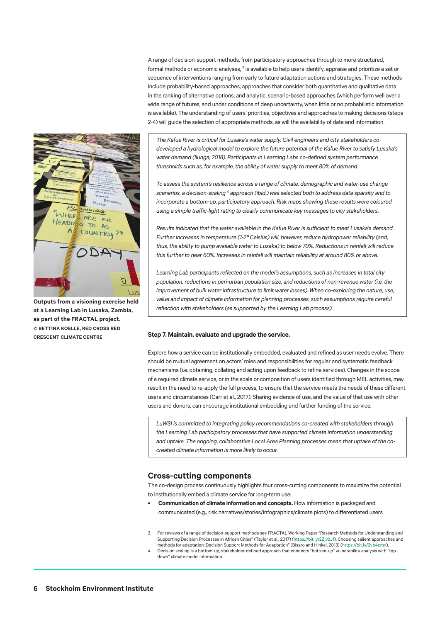A range of decision-support methods, from participatory approaches through to more structured, formal methods or economic analyses, <sup>3</sup> is available to help users identify, appraise and prioritize a set or sequence of interventions ranging from early to future adaptation actions and strategies. These methods include probability-based approaches; approaches that consider both quantitative and qualitative data in the ranking of alternative options; and analytic, scenario-based approaches (which perform well over a wide range of futures, and under conditions of deep uncertainty, when little or no probabilistic information is available). The understanding of users' priorities, objectives and approaches to making decisions (steps 2-4) will guide the selection of appropriate methods, as will the availability of data and information.



**Outputs from a visioning exercise held at a Learning Lab in Lusaka, Zambia, as part of the FRACTAL project. © BETTINA KOELLE, RED CROSS RED CRESCENT CLIMATE CENTRE**

*The Kafue River is critical for Lusaka's water supply. Civil engineers and city stakeholders codeveloped a hydrological model to explore the future potential of the Kafue River to satisfy Lusaka's water demand (Ilunga, 2018). Participants in Learning Labs co-defined system performance thresholds such as, for example, the ability of water supply to meet 80% of demand.*

*To assess the system's resilience across a range of climate, demographic and water-use change*  scenarios, a decision-scaling <sup>4</sup> approach (ibid.) was selected both to address data sparsity and to incorporate a bottom-up, participatory approach. Risk maps showing these results were coloured *using a simple traffic-light rating to clearly communicate key messages to city stakeholders.* 

*Results indicated that the water available in the Kafue River is sufficient to meet Lusaka's demand. Further increases in temperature (1-2º Celsius) will, however, reduce hydropower reliability (and, thus, the ability to pump available water to Lusaka) to below 70%. Reductions in rainfall will reduce this further to near 60%. Increases in rainfall will maintain reliability at around 80% or above.* 

*Learning Lab participants reflected on the model's assumptions, such as increases in total city population, reductions in peri-urban population size, and reductions of non-revenue water (i.e. the improvement of bulk water infrastructure to limit water losses). When co-exploring the nature, use, value and impact of climate information for planning processes, such assumptions require careful reflection with stakeholders (as supported by the Learning Lab process).* 

#### **Step 7. Maintain, evaluate and upgrade the service.**

Explore how a service can be institutionally embedded, evaluated and refined as user needs evolve. There should be mutual agreement on actors' roles and responsibilities for regular and systematic feedback mechanisms (i.e. obtaining, collating and acting upon feedback to refine services). Changes in the scope 13 of a required climate service, or in the scale or composition of users identified through MEL activities, may result in the need to re-apply the full process, to ensure that the service meets the needs of these different users and circumstances (Carr et al., 2017). Sharing evidence of use, and the value of that use with other users and donors, can encourage institutional embedding and further funding of the service.

*LuWSI is committed to integrating policy recommendations co-created with stakeholders through the Learning Lab participatory processes that have supported climate information understanding and uptake. The ongoing, collaborative Local Area Planning processes mean that uptake of the cocreated climate information is more likely to occur.*

## **Cross-cutting components**

The co-design process continuously highlights four cross-cutting components to maximize the potential to institutionally embed a climate service for long-term use:

**• Communication of climate information and concepts.** How information is packaged and communicated (e.g., risk narratives/stories/infographics/climate plots) to differentiated users

<sup>3</sup> For reviews of a range of decision-support methods see FRACTAL Working Paper "Research Methods for Understanding and Supporting Decision Processes in African Cities" (Taylor et al., 2017) [\(https://bit.ly/2ZjvzJ1](https://bit.ly/2ZjvzJ1)), Choosing salient approaches and methods for adaptation: Decision Support Methods for Adaptation" (Bisaro and Hinkel, 2013) [\(https://bit.ly/2vb4cmx\)](https://bit.ly/2vb4cmx).

Decision scaling is a bottom-up, stakeholder-defined approach that connects "bottom-up" vulnerability analysis with "topdown" climate model information.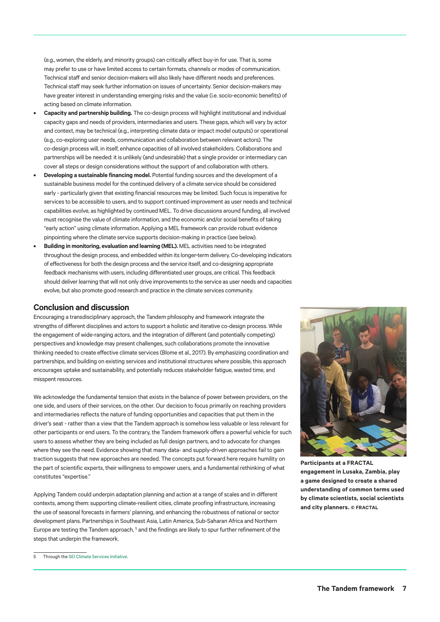(e.g., women, the elderly, and minority groups) can critically affect buy-in for use. That is, some may prefer to use or have limited access to certain formats, channels or modes of communication. Technical staff and senior decision-makers will also likely have different needs and preferences. Technical staff may seek further information on issues of uncertainty. Senior decision-makers may have greater interest in understanding emerging risks and the value (i.e. socio-economic benefits) of acting based on climate information.

- **• Capacity and partnership building.** The co-design process will highlight institutional and individual capacity gaps and needs of providers, intermediaries and users. These gaps, which will vary by actor and context, may be technical (e.g., interpreting climate data or impact model outputs) or operational (e.g., co-exploring user needs, communication and collaboration between relevant actors). The co-design process will, in itself, enhance capacities of all involved stakeholders. Collaborations and partnerships will be needed: it is unlikely (and undesirable) that a single provider or intermediary can cover all steps or design considerations without the support of and collaboration with others.
- **• Developing a sustainable financing model.** Potential funding sources and the development of a sustainable business model for the continued delivery of a climate service should be considered early - particularly given that existing financial resources may be limited. Such focus is imperative for services to be accessible to users, and to support continued improvement as user needs and technical capabilities evolve, as highlighted by continued MEL. To drive discussions around funding, all involved must recognise the value of climate information, and the economic and/or social benefits of taking "early action" using climate information. Applying a MEL framework can provide robust evidence pinpointing where the climate service supports decision-making in practice (see below).
- **• Building in monitoring, evaluation and learning (MEL).** MEL activities need to be integrated throughout the design process, and embedded within its longer-term delivery. Co-developing indicators of effectiveness for both the design process and the service itself, and co-designing appropriate feedback mechanisms with users, including differentiated user groups, are critical. This feedback should deliver learning that will not only drive improvements to the service as user needs and capacities evolve, but also promote good research and practice in the climate services community.

## **Conclusion and discussion**

Encouraging a transdisciplinary approach, the Tandem philosophy and framework integrate the strengths of different disciplines and actors to support a holistic and iterative co-design process. While the engagement of wide-ranging actors, and the integration of different (and potentially competing) perspectives and knowledge may present challenges, such collaborations promote the innovative thinking needed to create effective climate services (Blome et al., 2017). By emphasizing coordination and partnerships, and building on existing services and institutional structures where possible, this approach encourages uptake and sustainability, and potentially reduces stakeholder fatigue, wasted time, and misspent resources.

We acknowledge the fundamental tension that exists in the balance of power between providers, on the one side, and users of their services, on the other. Our decision to focus primarily on reaching providers and intermediaries reflects the nature of funding opportunities and capacities that put them in the driver's seat - rather than a view that the Tandem approach is somehow less valuable or less relevant for other participants or end users. To the contrary, the Tandem framework offers a powerful vehicle for such users to assess whether they are being included as full design partners, and to advocate for changes where they see the need. Evidence showing that many data- and supply-driven approaches fail to gain traction suggests that new approaches are needed. The concepts put forward here require humility on the part of scientific experts, their willingness to empower users, and a fundamental rethinking of what constitutes "expertise."

Applying Tandem could underpin adaptation planning and action at a range of scales and in different contexts, among them: supporting climate-resilient cities, climate proofing infrastructure, increasing the use of seasonal forecasts in farmers' planning, and enhancing the robustness of national or sector development plans. Partnerships in Southeast Asia, Latin America, Sub-Saharan Africa and Northern Europe are testing the Tandem approach,<sup>5</sup> and the findings are likely to spur further refinement of the steps that underpin the framework.



**Participants at a FRACTAL engagement in Lusaka, Zambia, play a game designed to create a shared understanding of common terms used by climate scientists, social scientists and city planners. © FRACTAL**

<sup>5</sup> Through the [SEI Climate Services Initiative.](https://www.sei.org/projects-and-tools/projects/climate-services-initiative/)